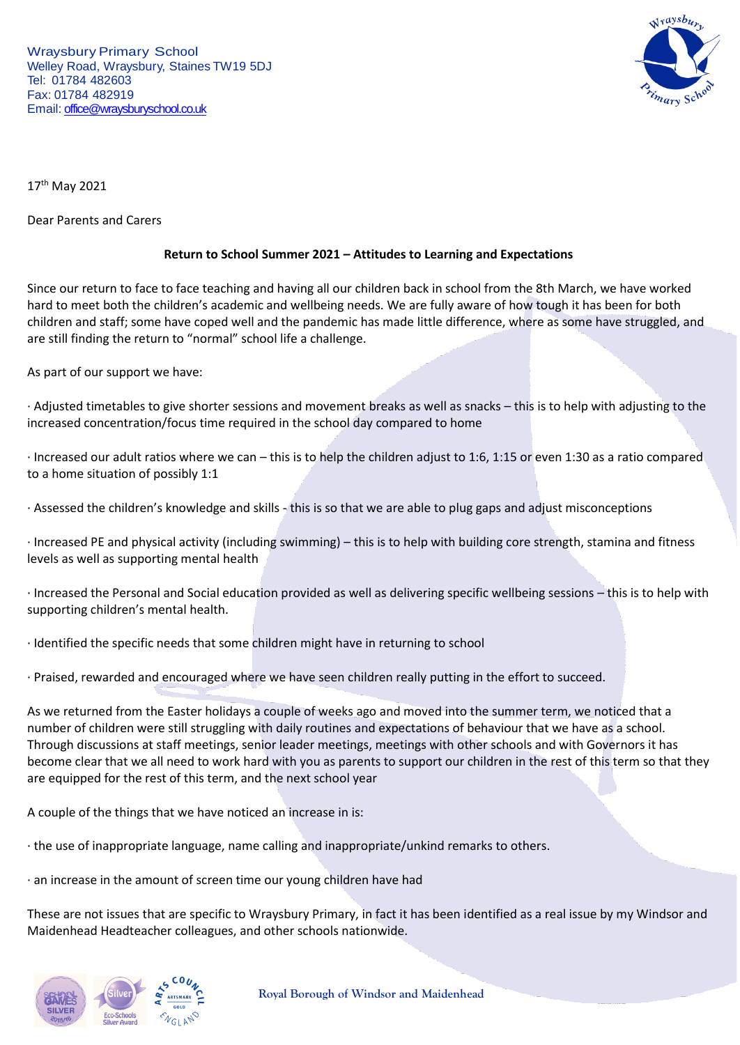

17<sup>th</sup> May 2021

Dear Parents and Carers

## **Return to School Summer 2021 – Attitudes to Learning and Expectations**

Since our return to face to face teaching and having all our children back in school from the 8th March, we have worked hard to meet both the children's academic and wellbeing needs. We are fully aware of how tough it has been for both children and staff; some have coped well and the pandemic has made little difference, where as some have struggled, and are still finding the return to "normal" school life a challenge.

As part of our support we have:

· Adjusted timetables to give shorter sessions and movement breaks as well as snacks – this is to help with adjusting to the increased concentration/focus time required in the school day compared to home

· Increased our adult ratios where we can – this is to help the children adjust to 1:6, 1:15 or even 1:30 as a ratio compared to a home situation of possibly 1:1

· Assessed the children's knowledge and skills - this is so that we are able to plug gaps and adjust misconceptions

· Increased PE and physical activity (including swimming) – this is to help with building core strength, stamina and fitness levels as well as supporting mental health

· Increased the Personal and Social education provided as well as delivering specific wellbeing sessions – this is to help with supporting children's mental health.

· Identified the specific needs that some children might have in returning to school

· Praised, rewarded and encouraged where we have seen children really putting in the effort to succeed.

As we returned from the Easter holidays a couple of weeks ago and moved into the summer term, we noticed that a number of children were still struggling with daily routines and expectations of behaviour that we have as a school. Through discussions at staff meetings, senior leader meetings, meetings with other schools and with Governors it has become clear that we all need to work hard with you as parents to support our children in the rest of this term so that they are equipped for the rest of this term, and the next school year

A couple of the things that we have noticed an increase in is:

· the use of inappropriate language, name calling and inappropriate/unkind remarks to others.

· an increase in the amount of screen time our young children have had

These are not issues that are specific to Wraysbury Primary, in fact it has been identified as a real issue by my Windsor and Maidenhead Headteacher colleagues, and other schools nationwide.



**Royal Borough of Windsor and Maidenhead**